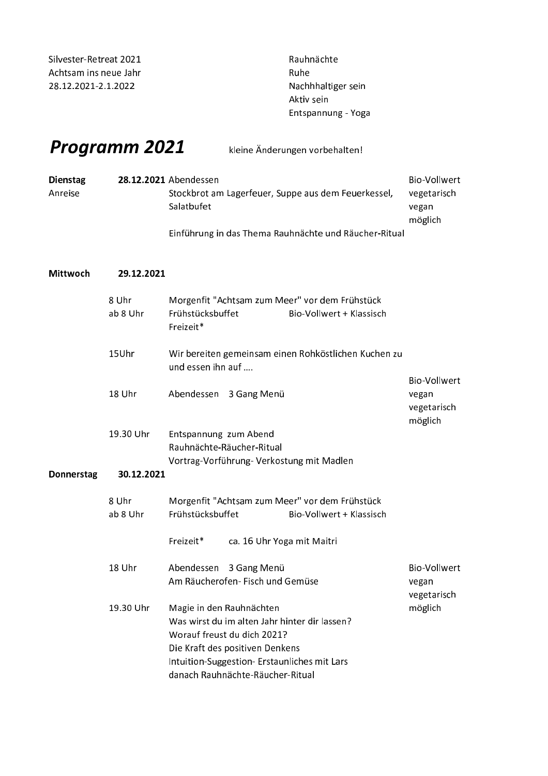Silvester-Retreat 2021 Achtsam ins neue Jahr 28.12.2021-2.1.2022

Rauhnächte Ruhe Nachhhaltiger sein Aktiv sein Entspannung - Yoga

## Programm 2021

kleine Änderungen vorbehalten!

| <b>Dienstag</b> | 28.12.2021 Abendessen                               | Bio-Vollwert |
|-----------------|-----------------------------------------------------|--------------|
| Anreise         | Stockbrot am Lagerfeuer, Suppe aus dem Feuerkessel, | vegetarisch  |
|                 | Salatbufet                                          | vegan        |
|                 |                                                     | möglich      |
|                 | -- --                                               |              |

Einführung in das Thema Rauhnächte und Räucher-Ritual

## Mittwoch 29.12.2021

|            | 8 Uhr<br>ab 8 Uhr | Morgenfit "Achtsam zum Meer" vor dem Frühstück<br>Frühstücksbuffet<br>Bio-Vollwert + Klassisch<br>Freizeit*                                                                                                                    |                                                 |
|------------|-------------------|--------------------------------------------------------------------------------------------------------------------------------------------------------------------------------------------------------------------------------|-------------------------------------------------|
|            | 15Uhr             | Wir bereiten gemeinsam einen Rohköstlichen Kuchen zu<br>und essen ihn auf                                                                                                                                                      |                                                 |
|            | 18 Uhr            | Abendessen 3 Gang Menü                                                                                                                                                                                                         | Bio-Vollwert<br>vegan<br>vegetarisch<br>möglich |
|            | 19.30 Uhr         | Entspannung zum Abend<br>Rauhnächte-Räucher-Ritual<br>Vortrag-Vorführung-Verkostung mit Madlen                                                                                                                                 |                                                 |
| Donnerstag | 30.12.2021        |                                                                                                                                                                                                                                |                                                 |
|            | 8 Uhr<br>ab 8 Uhr | Morgenfit "Achtsam zum Meer" vor dem Frühstück<br>Frühstücksbuffet<br>Bio-Vollwert + Klassisch                                                                                                                                 |                                                 |
|            |                   | Freizeit*<br>ca. 16 Uhr Yoga mit Maitri                                                                                                                                                                                        |                                                 |
|            | 18 Uhr            | Abendessen 3 Gang Menü<br>Am Räucherofen- Fisch und Gemüse                                                                                                                                                                     | <b>Bio-Vollwert</b><br>vegan<br>vegetarisch     |
|            | 19.30 Uhr         | Magie in den Rauhnächten<br>Was wirst du im alten Jahr hinter dir lassen?<br>Worauf freust du dich 2021?<br>Die Kraft des positiven Denkens<br>Intuition-Suggestion-Erstaunliches mit Lars<br>danach Rauhnächte-Räucher-Ritual | möglich                                         |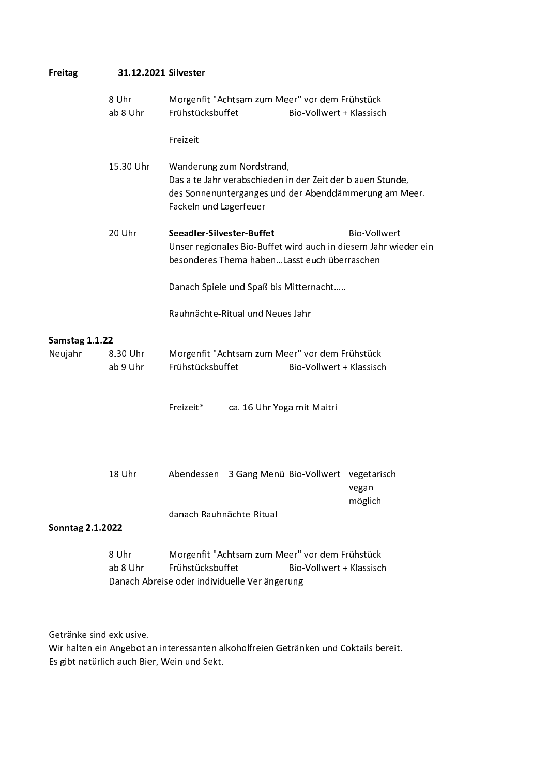| <b>Freitag</b>          | 31.12.2021 Silvester |                                                                                                                                                                            |  |
|-------------------------|----------------------|----------------------------------------------------------------------------------------------------------------------------------------------------------------------------|--|
|                         | 8 Uhr<br>ab 8 Uhr    | Morgenfit "Achtsam zum Meer" vor dem Frühstück<br>Frühstücksbuffet<br>Bio-Vollwert + Klassisch                                                                             |  |
|                         |                      | Freizeit                                                                                                                                                                   |  |
|                         | 15.30 Uhr            | Wanderung zum Nordstrand,<br>Das alte Jahr verabschieden in der Zeit der blauen Stunde,<br>des Sonnenunterganges und der Abenddämmerung am Meer.<br>Fackeln und Lagerfeuer |  |
|                         | 20 Uhr               | Seeadler-Silvester-Buffet<br><b>Bio-Vollwert</b><br>Unser regionales Bio-Buffet wird auch in diesem Jahr wieder ein<br>besonderes Thema habenLasst euch überraschen        |  |
|                         |                      | Danach Spiele und Spaß bis Mitternacht                                                                                                                                     |  |
|                         |                      | Rauhnächte-Ritual und Neues Jahr                                                                                                                                           |  |
| Samstag 1.1.22          |                      |                                                                                                                                                                            |  |
| Neujahr                 | 8.30 Uhr<br>ab 9 Uhr | Morgenfit "Achtsam zum Meer" vor dem Frühstück<br>Frühstücksbuffet<br>Bio-Vollwert + Klassisch                                                                             |  |
|                         |                      | Freizeit*<br>ca. 16 Uhr Yoga mit Maitri                                                                                                                                    |  |
|                         | 18 Uhr               | 3 Gang Menü Bio-Vollwert vegetarisch<br>Abendessen<br>vegan<br>möglich                                                                                                     |  |
| <b>Sonntag 2.1.2022</b> |                      | danach Rauhnächte-Ritual                                                                                                                                                   |  |
|                         | 8 Uhr<br>ab 8 Uhr    | Morgenfit "Achtsam zum Meer" vor dem Frühstück<br>Frühstücksbuffet<br>Bio-Vollwert + Klassisch<br>Danach Abreise oder individuelle Verlängerung                            |  |

Getränke sind exklusive.

Wir halten ein Angebot an interessanten alkoholfreien Getränken und Coktails bereit. Es gibt natürlich auch Bier, Wein und Sekt.